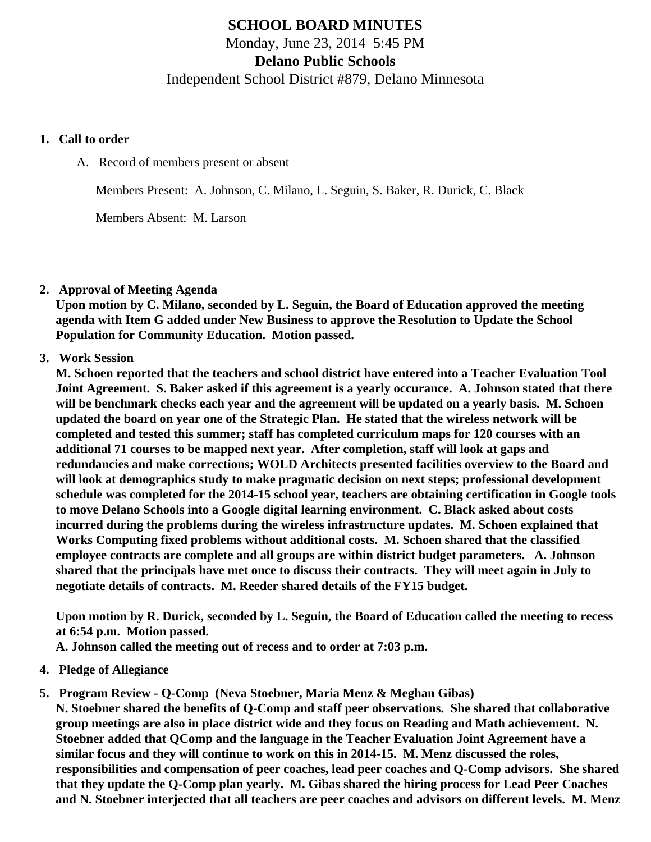# **SCHOOL BOARD MINUTES**

Monday, June 23, 2014 5:45 PM

**Delano Public Schools**

Independent School District #879, Delano Minnesota

#### **1. Call to order**

A. Record of members present or absent

Members Present: A. Johnson, C. Milano, L. Seguin, S. Baker, R. Durick, C. Black

Members Absent: M. Larson

### **2. Approval of Meeting Agenda**

**Upon motion by C. Milano, seconded by L. Seguin, the Board of Education approved the meeting agenda with Item G added under New Business to approve the Resolution to Update the School Population for Community Education. Motion passed.**

# **3. Work Session**

**M. Schoen reported that the teachers and school district have entered into a Teacher Evaluation Tool Joint Agreement. S. Baker asked if this agreement is a yearly occurance. A. Johnson stated that there will be benchmark checks each year and the agreement will be updated on a yearly basis. M. Schoen updated the board on year one of the Strategic Plan. He stated that the wireless network will be completed and tested this summer; staff has completed curriculum maps for 120 courses with an additional 71 courses to be mapped next year. After completion, staff will look at gaps and redundancies and make corrections; WOLD Architects presented facilities overview to the Board and will look at demographics study to make pragmatic decision on next steps; professional development schedule was completed for the 2014-15 school year, teachers are obtaining certification in Google tools to move Delano Schools into a Google digital learning environment. C. Black asked about costs incurred during the problems during the wireless infrastructure updates. M. Schoen explained that Works Computing fixed problems without additional costs. M. Schoen shared that the classified employee contracts are complete and all groups are within district budget parameters. A. Johnson shared that the principals have met once to discuss their contracts. They will meet again in July to negotiate details of contracts. M. Reeder shared details of the FY15 budget.**

**Upon motion by R. Durick, seconded by L. Seguin, the Board of Education called the meeting to recess at 6:54 p.m. Motion passed.**

**A. Johnson called the meeting out of recess and to order at 7:03 p.m.**

- **4. Pledge of Allegiance**
- **5. Program Review Q-Comp (Neva Stoebner, Maria Menz & Meghan Gibas)**

**N. Stoebner shared the benefits of Q-Comp and staff peer observations. She shared that collaborative group meetings are also in place district wide and they focus on Reading and Math achievement. N. Stoebner added that QComp and the language in the Teacher Evaluation Joint Agreement have a similar focus and they will continue to work on this in 2014-15. M. Menz discussed the roles, responsibilities and compensation of peer coaches, lead peer coaches and Q-Comp advisors. She shared that they update the Q-Comp plan yearly. M. Gibas shared the hiring process for Lead Peer Coaches and N. Stoebner interjected that all teachers are peer coaches and advisors on different levels. M. Menz**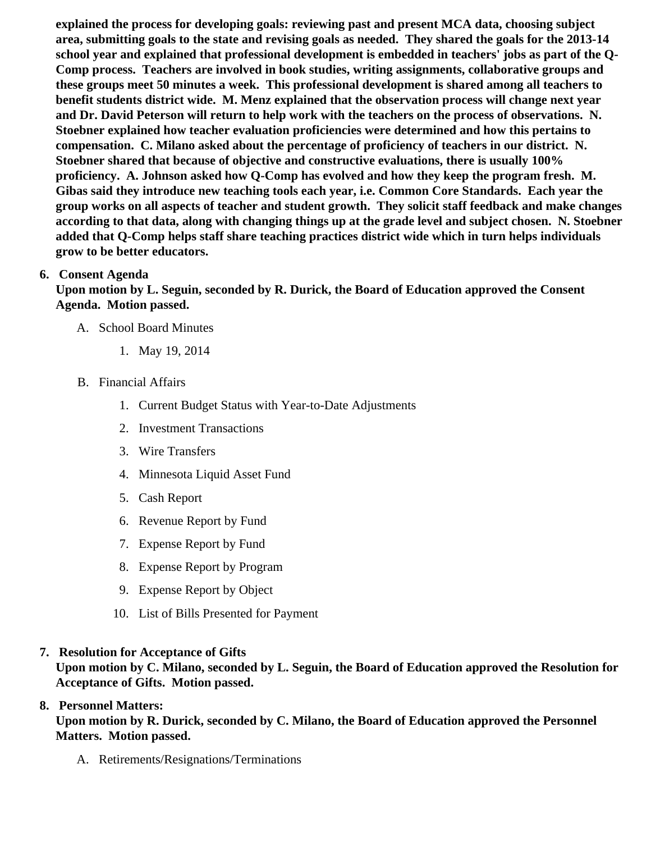explained the process for developing goals: reviewing past and present MCA data, choosing subject area, submitting goals to the state and revising goals as needed. They shared the goals for the 2013-14 school year and explained that professional development is embedded in teachers' jobs as part of the Q-Comp process. Teachers are involved in book studies, writing assignments, collaborative groups and these groups meet 50 minutes a week. This professional development is shared among all teachers to benefit students district wide. M. Menz explained that the observation process will change next year and Dr. David Peterson will return to help work with the teachers on the process of observations. N. Stoebner explained how teacher evaluation proficiencies were determined and how this pertains to compensation. C. Milano asked about the percentage of proficiency of teachers in our district. N. Stoebner shared that because of objective and constructive evaluations, there is usually 100% proficiency. A. Johnson asked how Q-Comp has evolved and how they keep the program fresh. M. Gibas said they introduce new teaching tools each year, i.e. Common Core Standards. Each year the group works on all aspects of teacher and student growth. They solicit staff feedback and make changes according to that data, along with changing things up at the grade level and subject chosen. N. Stoebner added that Q-Comp helps staff share teaching practices district wide which in turn helps individuals grow to be better educators.

6. Consent Agenda

Upon motion by L. Seguin, seconded by R. Durick, the Board of Education approved the Consent Agenda. Motion passed.

- A. School Board Minutes
	- 1. [May 19, 2014](/docs/district/Business_Office/School_Board_Minutes_May_19,_2014.pdf)
- B. Financial Affairs
	- 1. [Current Budget Status with Year-to-Date Adjustm](/docs/district/Business_Office/Budget_Report_June_14.pdf)ents
	- 2. [Investment Transactio](/docs/district/Business_Office/Investment_schedule_13-14.pdf  )ns
	- 3. [Wire Transfer](/docs/district/Business_Office/Wire_Transfer.pdf  )s
	- 4. [Minnesota Liquid Asset Fun](/docs/district/Business_Office/LiqAFY13-14.pdf )d
	- 5. [Cash Repo](/docs/district/Business_Office/Cash_Report.pdf)rt
	- 6. [Revenue Report by Fu](/docs/district/Business_Office/SCHOOL_BOARD_REPORTS_-_REVENUE_BY_FUND_TOTAL__(Date__6_2014).pdf)nd
	- 7. [Expense Report by Fu](/docs/district/Business_Office/SCHOOL_BOARD_REPORTS_-_EXP_BY_FUND_TOTAL__(Date__6_2014).pdf)nd
	- 8. [Expense Report by Progra](/docs/district/Business_Office/SCHOOL_BOARD_REPORTS_-_EXPENDITURES_BY_PROGRAM__(Date__6_2014).pdf)m
	- 9. [Expense Report by Obje](/docs/district/Business_Office/SCHOOL_BOARD_REPORTS_-_EXPENDITURES_BY_OBJECT__(Date__6_2014).pdf)ct
	- 10. [List of Bills Presented for Payme](/docs/district/Business_Office/Monthly_Bills_Paid.pdf)nt
- 7. [Resolution for Acceptance of Gifts](/docs/district/Business_Office/Resolution_for_Acceptance_of_Gifts_6.23.14.pdf) Upon motion by C. Milano, seconded by L. Seguin, the Board of Education approved the Resolution for Acceptance of Gifts. Motion passed.

### 8. Personnel Matters:

Upon motion by R. Durick, seconded by C. Milano, the Board of Education approved the Personnel Matters. Motion passed.

A. Retirements/Resignations/Terminations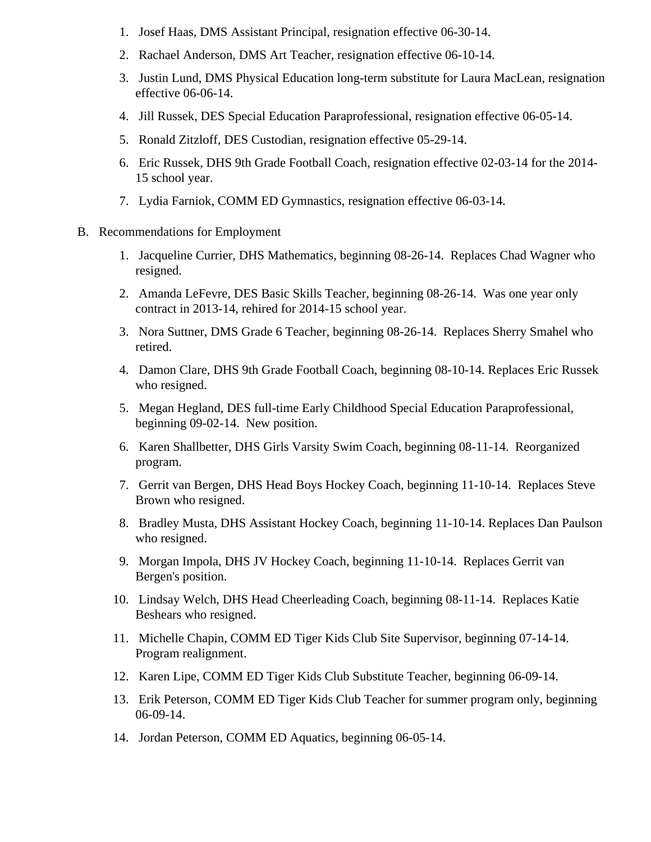- 1. Josef Haas, DMS Assistant Principal, resignation effective 06-30-14.
- 2. Rachael Anderson, DMS Art Teacher, resignation effective 06-10-14.
- 3. Justin Lund, DMS Physical Education long-term substitute for Laura MacLean, resignation effective 06-06-14.
- 4. Jill Russek, DES Special Education Paraprofessional, resignation effective 06-05-14.
- 5. Ronald Zitzloff, DES Custodian, resignation effective 05-29-14.
- 6. Eric Russek, DHS 9th Grade Football Coach, resignation effective 02-03-14 for the 2014- 15 school year.
- 7. Lydia Farniok, COMM ED Gymnastics, resignation effective 06-03-14.
- B. Recommendations for Employment
	- 1. Jacqueline Currier, DHS Mathematics, beginning 08-26-14. Replaces Chad Wagner who resigned.
	- 2. Amanda LeFevre, DES Basic Skills Teacher, beginning 08-26-14. Was one year only contract in 2013-14, rehired for 2014-15 school year.
	- 3. Nora Suttner, DMS Grade 6 Teacher, beginning 08-26-14. Replaces Sherry Smahel who retired.
	- 4. Damon Clare, DHS 9th Grade Football Coach, beginning 08-10-14. Replaces Eric Russek who resigned.
	- 5. Megan Hegland, DES full-time Early Childhood Special Education Paraprofessional, beginning 09-02-14. New position.
	- 6. Karen Shallbetter, DHS Girls Varsity Swim Coach, beginning 08-11-14. Reorganized program.
	- 7. Gerrit van Bergen, DHS Head Boys Hockey Coach, beginning 11-10-14. Replaces Steve Brown who resigned.
	- 8. Bradley Musta, DHS Assistant Hockey Coach, beginning 11-10-14. Replaces Dan Paulson who resigned.
	- 9. Morgan Impola, DHS JV Hockey Coach, beginning 11-10-14. Replaces Gerrit van Bergen's position.
	- 10. Lindsay Welch, DHS Head Cheerleading Coach, beginning 08-11-14. Replaces Katie Beshears who resigned.
	- 11. Michelle Chapin, COMM ED Tiger Kids Club Site Supervisor, beginning 07-14-14. Program realignment.
	- 12. Karen Lipe, COMM ED Tiger Kids Club Substitute Teacher, beginning 06-09-14.
	- 13. Erik Peterson, COMM ED Tiger Kids Club Teacher for summer program only, beginning 06-09-14.
	- 14. Jordan Peterson, COMM ED Aquatics, beginning 06-05-14.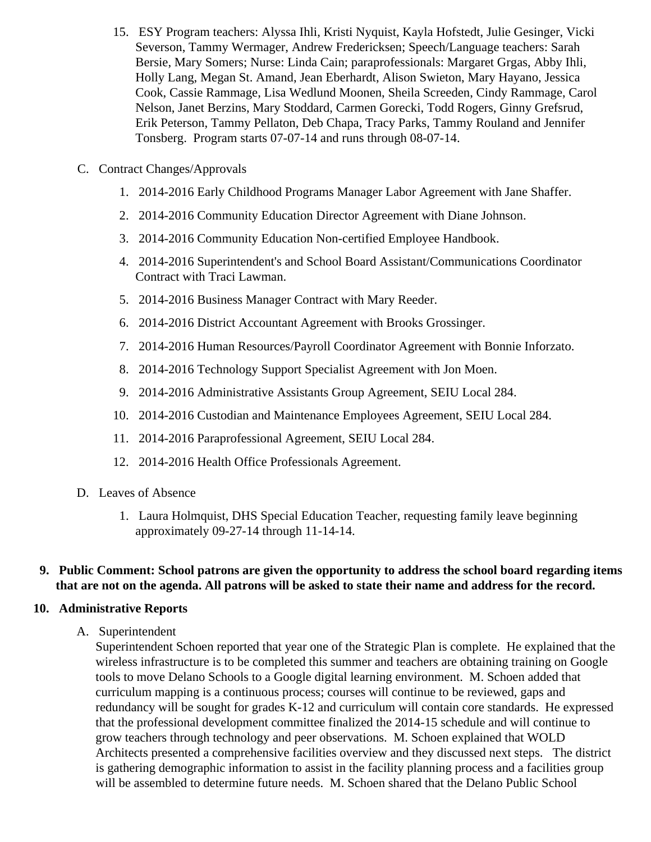- 15. ESY Program teachers: Alyssa Ihli, Kristi Nyquist, Kayla Hofstedt, Julie Gesinger, Vicki Severson, Tammy Wermager, Andrew Fredericksen; Speech/Language teachers: Sarah Bersie, Mary Somers; Nurse: Linda Cain; paraprofessionals: Margaret Grgas, Abby Ihli, Holly Lang, Megan St. Amand, Jean Eberhardt, Alison Swieton, Mary Hayano, Jessica Cook, Cassie Rammage, Lisa Wedlund Moonen, Sheila Screeden, Cindy Rammage, Carol Nelson, Janet Berzins, Mary Stoddard, Carmen Gorecki, Todd Rogers, Ginny Grefsrud, Erik Peterson, Tammy Pellaton, Deb Chapa, Tracy Parks, Tammy Rouland and Jennifer Tonsberg. Program starts 07-07-14 and runs through 08-07-14.
- C. Contract Changes/Approvals
	- 1. 2014-2016 Early Childhood Programs Manager Labor Agreement with Jane Shaffer.
	- 2. 2014-2016 Community Education Director Agreement with Diane Johnson.
	- 3. 2014-2016 Community Education Non-certified Employee Handbook.
	- 4. 2014-2016 Superintendent's and School Board Assistant/Communications Coordinator Contract with Traci Lawman.
	- 5. 2014-2016 Business Manager Contract with Mary Reeder.
	- 6. 2014-2016 District Accountant Agreement with Brooks Grossinger.
	- 7. 2014-2016 Human Resources/Payroll Coordinator Agreement with Bonnie Inforzato.
	- 8. 2014-2016 Technology Support Specialist Agreement with Jon Moen.
	- 9. 2014-2016 Administrative Assistants Group Agreement, SEIU Local 284.
	- 10. 2014-2016 Custodian and Maintenance Employees Agreement, SEIU Local 284.
	- 11. 2014-2016 Paraprofessional Agreement, SEIU Local 284.
	- 12. 2014-2016 Health Office Professionals Agreement.
- D. Leaves of Absence
	- 1. Laura Holmquist, DHS Special Education Teacher, requesting family leave beginning approximately 09-27-14 through 11-14-14.

### **9. Public Comment: School patrons are given the opportunity to address the school board regarding items that are not on the agenda. All patrons will be asked to state their name and address for the record.**

#### **10. Administrative Reports**

A. Superintendent

Superintendent Schoen reported that year one of the Strategic Plan is complete. He explained that the wireless infrastructure is to be completed this summer and teachers are obtaining training on Google tools to move Delano Schools to a Google digital learning environment. M. Schoen added that curriculum mapping is a continuous process; courses will continue to be reviewed, gaps and redundancy will be sought for grades K-12 and curriculum will contain core standards. He expressed that the professional development committee finalized the 2014-15 schedule and will continue to grow teachers through technology and peer observations. M. Schoen explained that WOLD Architects presented a comprehensive facilities overview and they discussed next steps. The district is gathering demographic information to assist in the facility planning process and a facilities group will be assembled to determine future needs. M. Schoen shared that the Delano Public School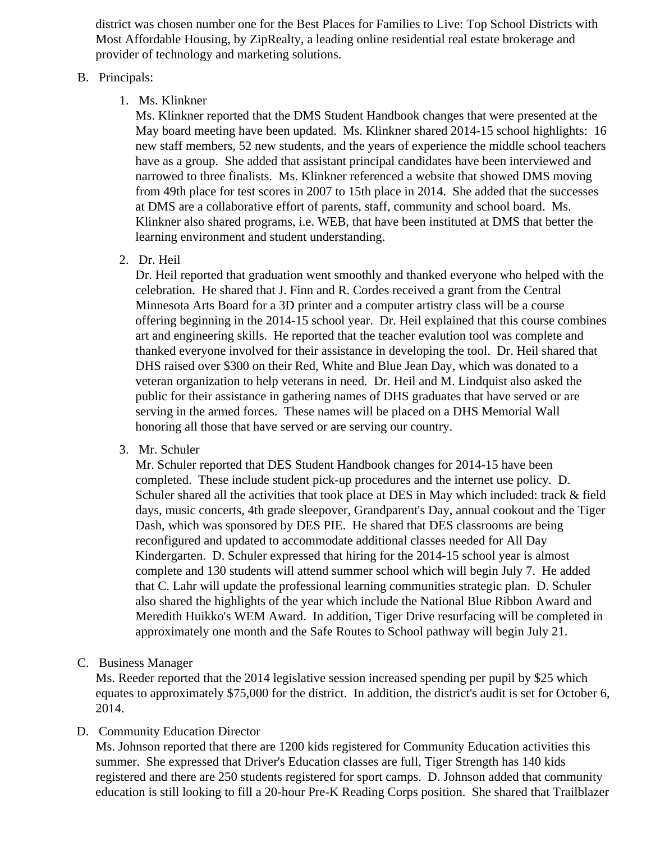district was chosen number one for the Best Places for Families to Live: Top School Districts with Most Affordable Housing, by ZipRealty, a leading online residential real estate brokerage and provider of technology and marketing solutions.

#### B. Principals:

1. Ms. Klinkner

Ms. Klinkner reported that the DMS Student Handbook changes that were presented at the May board meeting have been updated. Ms. Klinkner shared 2014-15 school highlights: 16 new staff members, 52 new students, and the years of experience the middle school teachers have as a group. She added that assistant principal candidates have been interviewed and narrowed to three finalists. Ms. Klinkner referenced a website that showed DMS moving from 49th place for test scores in 2007 to 15th place in 2014. She added that the successes at DMS are a collaborative effort of parents, staff, community and school board. Ms. Klinkner also shared programs, i.e. WEB, that have been instituted at DMS that better the learning environment and student understanding.

2. Dr. Heil

Dr. Heil reported that graduation went smoothly and thanked everyone who helped with the celebration. He shared that J. Finn and R. Cordes received a grant from the Central Minnesota Arts Board for a 3D printer and a computer artistry class will be a course offering beginning in the 2014-15 school year. Dr. Heil explained that this course combines art and engineering skills. He reported that the teacher evalution tool was complete and thanked everyone involved for their assistance in developing the tool. Dr. Heil shared that DHS raised over \$300 on their Red, White and Blue Jean Day, which was donated to a veteran organization to help veterans in need. Dr. Heil and M. Lindquist also asked the public for their assistance in gathering names of DHS graduates that have served or are serving in the armed forces. These names will be placed on a DHS Memorial Wall honoring all those that have served or are serving our country.

3. Mr. Schuler

Mr. Schuler reported that DES Student Handbook changes for 2014-15 have been completed. These include student pick-up procedures and the internet use policy. D. Schuler shared all the activities that took place at DES in May which included: track & field days, music concerts, 4th grade sleepover, Grandparent's Day, annual cookout and the Tiger Dash, which was sponsored by DES PIE. He shared that DES classrooms are being reconfigured and updated to accommodate additional classes needed for All Day Kindergarten. D. Schuler expressed that hiring for the 2014-15 school year is almost complete and 130 students will attend summer school which will begin July 7. He added that C. Lahr will update the professional learning communities strategic plan. D. Schuler also shared the highlights of the year which include the National Blue Ribbon Award and Meredith Huikko's WEM Award. In addition, Tiger Drive resurfacing will be completed in approximately one month and the Safe Routes to School pathway will begin July 21.

C. Business Manager

Ms. Reeder reported that the 2014 legislative session increased spending per pupil by \$25 which equates to approximately \$75,000 for the district. In addition, the district's audit is set for October 6, 2014.

# D. Community Education Director

Ms. Johnson reported that there are 1200 kids registered for Community Education activities this summer. She expressed that Driver's Education classes are full, Tiger Strength has 140 kids registered and there are 250 students registered for sport camps. D. Johnson added that community education is still looking to fill a 20-hour Pre-K Reading Corps position. She shared that Trailblazer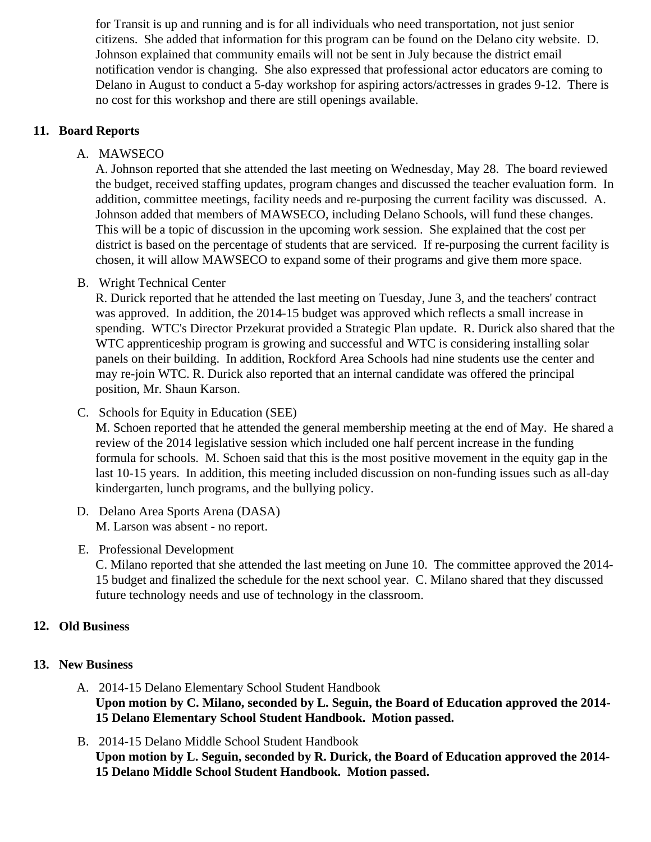for Transit is up and running and is for all individuals who need transportation, not just senior citizens. She added that information for this program can be found on the Delano city website. D. Johnson explained that community emails will not be sent in July because the district email notification vendor is changing. She also expressed that professional actor educators are coming to Delano in August to conduct a 5-day workshop for aspiring actors/actresses in grades 9-12. There is no cost for this workshop and there are still openings available.

### **11. Board Reports**

A. MAWSECO

A. Johnson reported that she attended the last meeting on Wednesday, May 28. The board reviewed the budget, received staffing updates, program changes and discussed the teacher evaluation form. In addition, committee meetings, facility needs and re-purposing the current facility was discussed. A. Johnson added that members of MAWSECO, including Delano Schools, will fund these changes. This will be a topic of discussion in the upcoming work session. She explained that the cost per district is based on the percentage of students that are serviced. If re-purposing the current facility is chosen, it will allow MAWSECO to expand some of their programs and give them more space.

B. Wright Technical Center

R. Durick reported that he attended the last meeting on Tuesday, June 3, and the teachers' contract was approved. In addition, the 2014-15 budget was approved which reflects a small increase in spending. WTC's Director Przekurat provided a Strategic Plan update. R. Durick also shared that the WTC apprenticeship program is growing and successful and WTC is considering installing solar panels on their building. In addition, Rockford Area Schools had nine students use the center and may re-join WTC. R. Durick also reported that an internal candidate was offered the principal position, Mr. Shaun Karson.

C. Schools for Equity in Education (SEE)

M. Schoen reported that he attended the general membership meeting at the end of May. He shared a review of the 2014 legislative session which included one half percent increase in the funding formula for schools. M. Schoen said that this is the most positive movement in the equity gap in the last 10-15 years. In addition, this meeting included discussion on non-funding issues such as all-day kindergarten, lunch programs, and the bullying policy.

- D. Delano Area Sports Arena (DASA) M. Larson was absent - no report.
- E. Professional Development

C. Milano reported that she attended the last meeting on June 10. The committee approved the 2014- 15 budget and finalized the schedule for the next school year. C. Milano shared that they discussed future technology needs and use of technology in the classroom.

# **12. Old Business**

### **13. New Business**

- A. 2014-15 Delano Elementary School Student Handbook **Upon motion by C. Milano, seconded by L. Seguin, the Board of Education approved the 2014- 15 Delano Elementary School Student Handbook. Motion passed.**
- B. 2014-15 Delano Middle School Student Handbook **Upon motion by L. Seguin, seconded by R. Durick, the Board of Education approved the 2014- 15 Delano Middle School Student Handbook. Motion passed.**